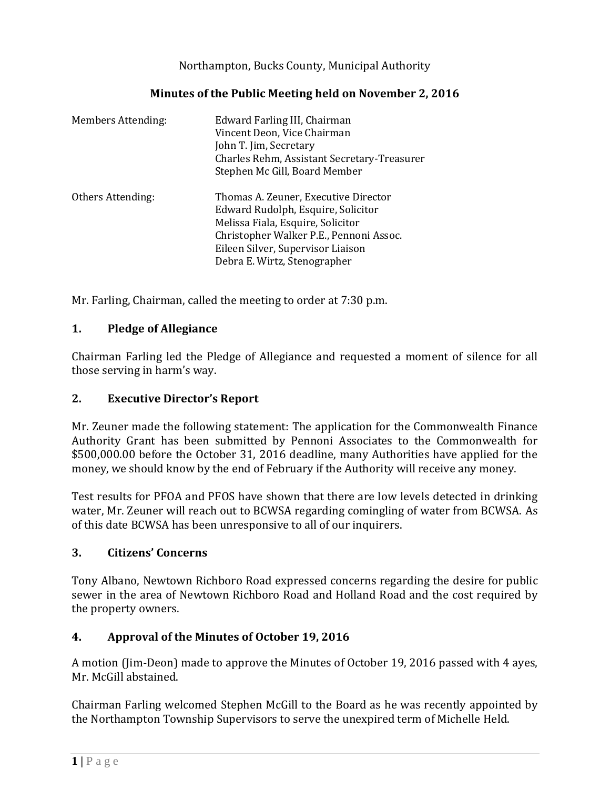Northampton, Bucks County, Municipal Authority

| Minutes of the Public Meeting held on November 2, 2016 |  |  |  |
|--------------------------------------------------------|--|--|--|
|--------------------------------------------------------|--|--|--|

| <b>Members Attending:</b> | Edward Farling III, Chairman<br>Vincent Deon, Vice Chairman<br>John T. Jim, Secretary<br>Charles Rehm, Assistant Secretary-Treasurer<br>Stephen Mc Gill, Board Member                                                           |
|---------------------------|---------------------------------------------------------------------------------------------------------------------------------------------------------------------------------------------------------------------------------|
| Others Attending:         | Thomas A. Zeuner, Executive Director<br>Edward Rudolph, Esquire, Solicitor<br>Melissa Fiala, Esquire, Solicitor<br>Christopher Walker P.E., Pennoni Assoc.<br>Eileen Silver, Supervisor Liaison<br>Debra E. Wirtz, Stenographer |

Mr. Farling, Chairman, called the meeting to order at 7:30 p.m.

# **1. Pledge of Allegiance**

Chairman Farling led the Pledge of Allegiance and requested a moment of silence for all those serving in harm's way.

### **2. Executive Director's Report**

Mr. Zeuner made the following statement: The application for the Commonwealth Finance Authority Grant has been submitted by Pennoni Associates to the Commonwealth for \$500,000.00 before the October 31, 2016 deadline, many Authorities have applied for the money, we should know by the end of February if the Authority will receive any money.

Test results for PFOA and PFOS have shown that there are low levels detected in drinking water, Mr. Zeuner will reach out to BCWSA regarding comingling of water from BCWSA. As of this date BCWSA has been unresponsive to all of our inquirers.

### **3. Citizens' Concerns**

Tony Albano, Newtown Richboro Road expressed concerns regarding the desire for public sewer in the area of Newtown Richboro Road and Holland Road and the cost required by the property owners.

# **4. Approval of the Minutes of October 19, 2016**

A motion (Jim-Deon) made to approve the Minutes of October 19, 2016 passed with 4 ayes, Mr. McGill abstained.

Chairman Farling welcomed Stephen McGill to the Board as he was recently appointed by the Northampton Township Supervisors to serve the unexpired term of Michelle Held.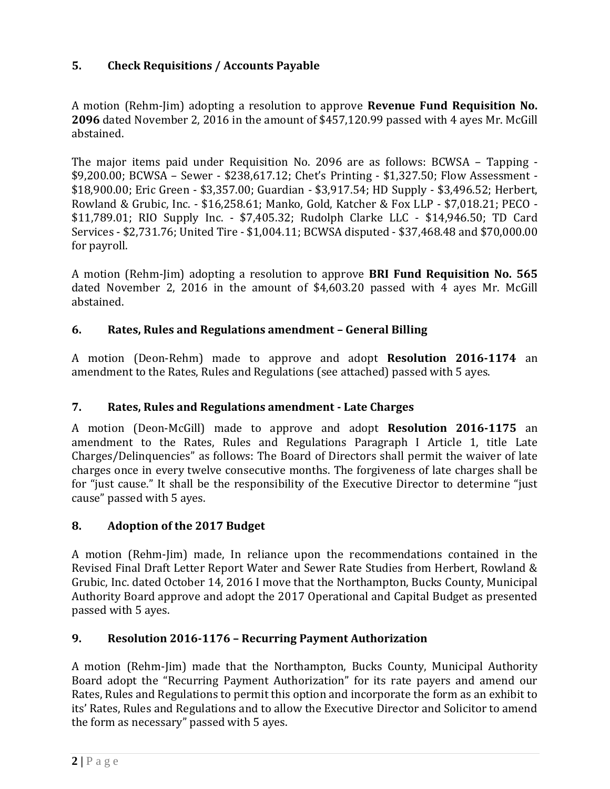# **5. Check Requisitions / Accounts Payable**

A motion (Rehm-Jim) adopting a resolution to approve **Revenue Fund Requisition No. 2096** dated November 2, 2016 in the amount of \$457,120.99 passed with 4 ayes Mr. McGill abstained.

The major items paid under Requisition No. 2096 are as follows: BCWSA – Tapping - \$9,200.00; BCWSA – Sewer - \$238,617.12; Chet's Printing - \$1,327.50; Flow Assessment - \$18,900.00; Eric Green - \$3,357.00; Guardian - \$3,917.54; HD Supply - \$3,496.52; Herbert, Rowland & Grubic, Inc. - \$16,258.61; Manko, Gold, Katcher & Fox LLP - \$7,018.21; PECO - \$11,789.01; RIO Supply Inc. - \$7,405.32; Rudolph Clarke LLC - \$14,946.50; TD Card Services - \$2,731.76; United Tire - \$1,004.11; BCWSA disputed - \$37,468.48 and \$70,000.00 for payroll.

A motion (Rehm-Jim) adopting a resolution to approve **BRI Fund Requisition No. 565** dated November 2, 2016 in the amount of \$4,603.20 passed with 4 ayes Mr. McGill abstained.

### **6. Rates, Rules and Regulations amendment – General Billing**

A motion (Deon-Rehm) made to approve and adopt **Resolution 2016-1174** an amendment to the Rates, Rules and Regulations (see attached) passed with 5 ayes.

### **7. Rates, Rules and Regulations amendment - Late Charges**

A motion (Deon-McGill) made to approve and adopt **Resolution 2016-1175** an amendment to the Rates, Rules and Regulations Paragraph I Article 1, title Late Charges/Delinquencies" as follows: The Board of Directors shall permit the waiver of late charges once in every twelve consecutive months. The forgiveness of late charges shall be for "just cause." It shall be the responsibility of the Executive Director to determine "just cause" passed with 5 ayes.

### **8. Adoption of the 2017 Budget**

A motion (Rehm-Jim) made, In reliance upon the recommendations contained in the Revised Final Draft Letter Report Water and Sewer Rate Studies from Herbert, Rowland & Grubic, Inc. dated October 14, 2016 I move that the Northampton, Bucks County, Municipal Authority Board approve and adopt the 2017 Operational and Capital Budget as presented passed with 5 ayes.

# **9. Resolution 2016-1176 – Recurring Payment Authorization**

A motion (Rehm-Jim) made that the Northampton, Bucks County, Municipal Authority Board adopt the "Recurring Payment Authorization" for its rate payers and amend our Rates, Rules and Regulations to permit this option and incorporate the form as an exhibit to its' Rates, Rules and Regulations and to allow the Executive Director and Solicitor to amend the form as necessary" passed with 5 ayes.